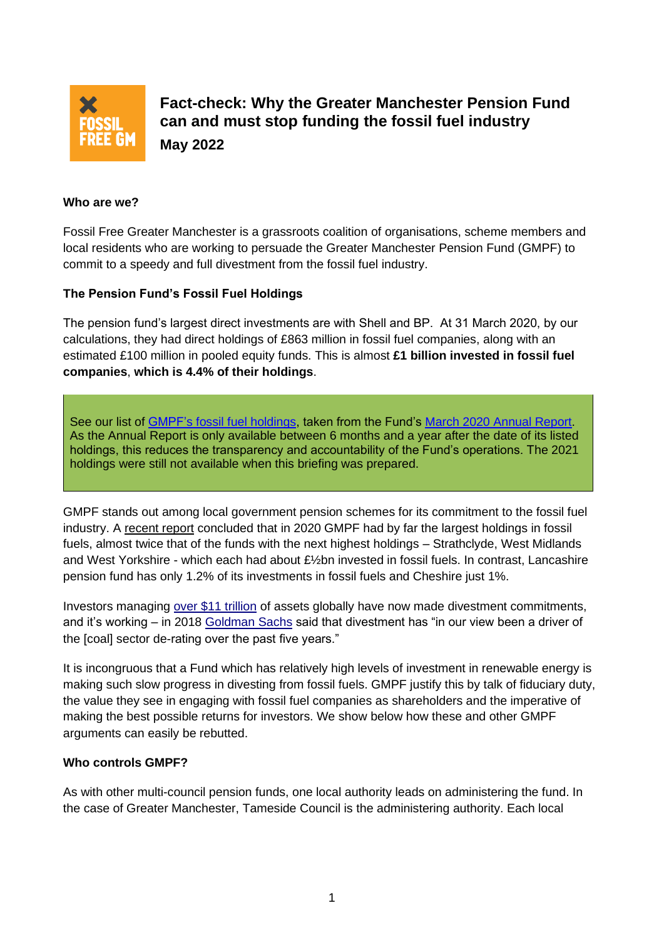

**Fact-check: Why the Greater Manchester Pension Fund can and must stop funding the fossil fuel industry May 2022**

## **Who are we?**

Fossil Free Greater Manchester is a grassroots coalition of organisations, scheme members and local residents who are working to persuade the Greater Manchester Pension Fund (GMPF) to commit to a speedy and full divestment from the fossil fuel industry.

### **The Pension Fund's Fossil Fuel Holdings**

The pension fund's largest direct investments are with Shell and BP. At 31 March 2020, by our calculations, they had direct holdings of £863 million in fossil fuel companies, along with an estimated £100 million in pooled equity funds. This is almost **£1 billion invested in fossil fuel companies**, **which is 4.4% of their holdings**.

See our list of [GMPF's fossil fuel holdings,](http://fossilfreegm.org.uk/wp-content/uploads/2021/10/GMPF-fossil-fuel-holdings-at-31-March-2020.pdf) taken from the Fund's [March 2020 Annual Report.](https://www.gmpf.org.uk/getmedia/1b585f30-aa94-4cc8-a49e-c698af803915/Annual-report-2020.pdf) As the Annual Report is only available between 6 months and a year after the date of its listed holdings, this reduces the transparency and accountability of the Fund's operations. The 2021 holdings were still not available when this briefing was prepared.

GMPF stands out among local government pension schemes for its commitment to the fossil fuel industry. A [recent report](https://www.divest.org.uk/wp-content/uploads/2021/03/UKDivest_Report.pdf) concluded that in 2020 GMPF had by far the largest holdings in fossil fuels, almost twice that of the funds with the next highest holdings – Strathclyde, West Midlands and West Yorkshire - which each had about £½bn invested in fossil fuels. In contrast, Lancashire pension fund has only 1.2% of its investments in fossil fuels and Cheshire just 1%.

Investors managing [over \\$11 trillion](https://www.ft.com/content/4dec2ce0-d0fc-11e9-99a4-b5ded7a7fe3f) of assets globally have now made divestment commitments, and it's working – in 2018 [Goldman Sachs](https://www.goldmansachs.com/insights/pages/reports/re-imagining-big-oils-f/re-imagining-big-oils-report-pdf.pdf) said that divestment has "in our view been a driver of the [coal] sector de-rating over the past five years."

It is incongruous that a Fund which has relatively high levels of investment in renewable energy is making such slow progress in divesting from fossil fuels. GMPF justify this by talk of fiduciary duty, the value they see in engaging with fossil fuel companies as shareholders and the imperative of making the best possible returns for investors. We show below how these and other GMPF arguments can easily be rebutted.

#### **Who controls GMPF?**

As with other multi-council pension funds, one local authority leads on administering the fund. In the case of Greater Manchester, Tameside Council is the administering authority. Each local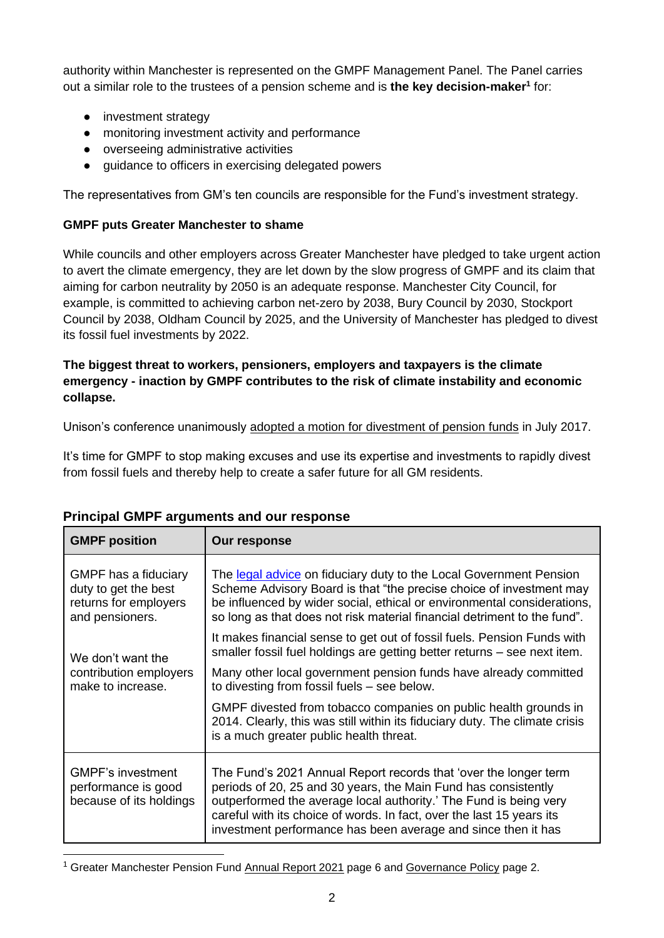authority within Manchester is represented on the GMPF Management Panel. The Panel carries out a similar role to the trustees of a pension scheme and is **the key decision-maker<sup>1</sup>** for:

- investment strategy
- monitoring investment activity and performance
- overseeing administrative activities
- guidance to officers in exercising delegated powers

The representatives from GM's ten councils are responsible for the Fund's investment strategy.

# **GMPF puts Greater Manchester to shame**

While councils and other employers across Greater Manchester have pledged to take urgent action to avert the climate emergency, they are let down by the slow progress of GMPF and its claim that aiming for carbon neutrality by 2050 is an adequate response. Manchester City Council, for example, is committed to achieving carbon net-zero by 2038, Bury Council by 2030, Stockport Council by 2038, Oldham Council by 2025, and the University of Manchester has pledged to divest its fossil fuel investments by 2022.

# **The biggest threat to workers, pensioners, employers and taxpayers is the climate emergency - inaction by GMPF contributes to the risk of climate instability and economic collapse.**

Unison's conference unanimously [adopted a motion for divestment of pension funds](https://cacctu.org.uk/node/1799#:~:text=The%20trade%20union%20UNISON%20has%20unanimously%20voted%20to,pension%20funds%20are%20collectively%20worth%20over%20%C2%A3200%20billion.) in July 2017.

It's time for GMPF to stop making excuses and use its expertise and investments to rapidly divest from fossil fuels and thereby help to create a safer future for all GM residents.

| <b>GMPF position</b>                                                                     | Our response                                                                                                                                                                                                                                                                                                                                      |
|------------------------------------------------------------------------------------------|---------------------------------------------------------------------------------------------------------------------------------------------------------------------------------------------------------------------------------------------------------------------------------------------------------------------------------------------------|
| GMPF has a fiduciary<br>duty to get the best<br>returns for employers<br>and pensioners. | The legal advice on fiduciary duty to the Local Government Pension<br>Scheme Advisory Board is that "the precise choice of investment may<br>be influenced by wider social, ethical or environmental considerations,<br>so long as that does not risk material financial detriment to the fund".                                                  |
| We don't want the<br>contribution employers<br>make to increase.                         | It makes financial sense to get out of fossil fuels. Pension Funds with<br>smaller fossil fuel holdings are getting better returns - see next item.                                                                                                                                                                                               |
|                                                                                          | Many other local government pension funds have already committed<br>to divesting from fossil fuels - see below.                                                                                                                                                                                                                                   |
|                                                                                          | GMPF divested from tobacco companies on public health grounds in<br>2014. Clearly, this was still within its fiduciary duty. The climate crisis<br>is a much greater public health threat.                                                                                                                                                        |
| <b>GMPF's investment</b><br>performance is good<br>because of its holdings               | The Fund's 2021 Annual Report records that 'over the longer term<br>periods of 20, 25 and 30 years, the Main Fund has consistently<br>outperformed the average local authority.' The Fund is being very<br>careful with its choice of words. In fact, over the last 15 years its<br>investment performance has been average and since then it has |

# **Principal GMPF arguments and our response**

<sup>&</sup>lt;sup>1</sup> Greater Manchester Pension Fund [Annual Report 2021](https://www.gmpf.org.uk/getmedia/d765a3d3-c795-4fb3-bd56-4907f98455b4/Annual-Report-2021.pdf) page 6 and [Governance Policy](https://www.gmpf.org.uk/getmedia/8efad5dd-afc4-4cd0-ba85-89481d32a148/Governance_policy_2014.pdf) page 2.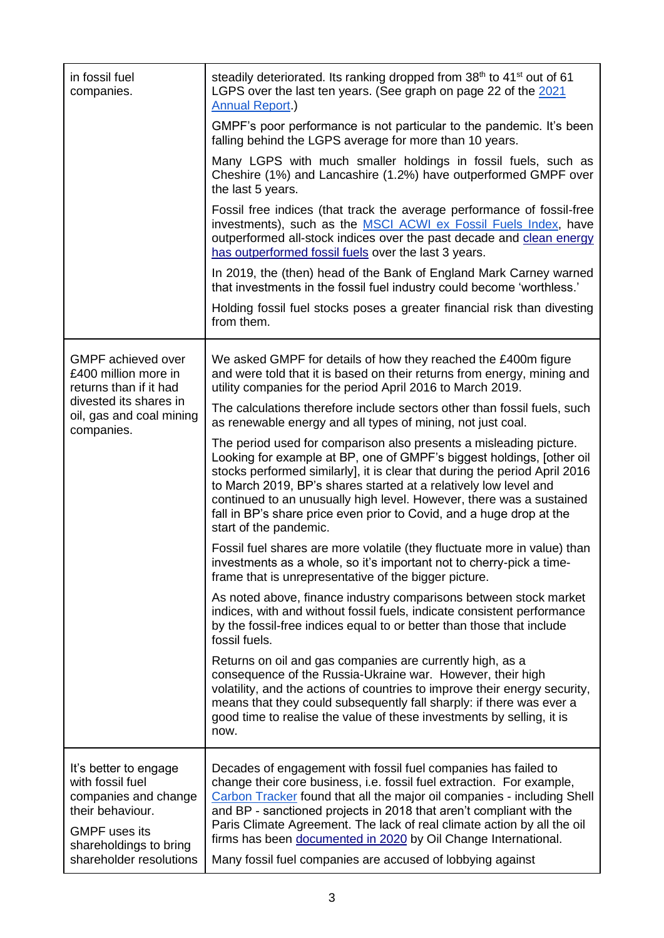| in fossil fuel<br>companies.                                                                                                                                       | steadily deteriorated. Its ranking dropped from 38 <sup>th</sup> to 41 <sup>st</sup> out of 61<br>LGPS over the last ten years. (See graph on page 22 of the 2021<br><b>Annual Report.)</b>                                                                                                                                                                                                                                                                                                          |
|--------------------------------------------------------------------------------------------------------------------------------------------------------------------|------------------------------------------------------------------------------------------------------------------------------------------------------------------------------------------------------------------------------------------------------------------------------------------------------------------------------------------------------------------------------------------------------------------------------------------------------------------------------------------------------|
|                                                                                                                                                                    | GMPF's poor performance is not particular to the pandemic. It's been<br>falling behind the LGPS average for more than 10 years.                                                                                                                                                                                                                                                                                                                                                                      |
|                                                                                                                                                                    | Many LGPS with much smaller holdings in fossil fuels, such as<br>Cheshire (1%) and Lancashire (1.2%) have outperformed GMPF over<br>the last 5 years.                                                                                                                                                                                                                                                                                                                                                |
|                                                                                                                                                                    | Fossil free indices (that track the average performance of fossil-free<br>investments), such as the MSCI ACWI ex Fossil Fuels Index, have<br>outperformed all-stock indices over the past decade and clean energy<br>has outperformed fossil fuels over the last 3 years.                                                                                                                                                                                                                            |
|                                                                                                                                                                    | In 2019, the (then) head of the Bank of England Mark Carney warned<br>that investments in the fossil fuel industry could become 'worthless.'                                                                                                                                                                                                                                                                                                                                                         |
|                                                                                                                                                                    | Holding fossil fuel stocks poses a greater financial risk than divesting<br>from them.                                                                                                                                                                                                                                                                                                                                                                                                               |
| <b>GMPF</b> achieved over<br>£400 million more in<br>returns than if it had<br>divested its shares in<br>oil, gas and coal mining<br>companies.                    | We asked GMPF for details of how they reached the £400m figure<br>and were told that it is based on their returns from energy, mining and<br>utility companies for the period April 2016 to March 2019.                                                                                                                                                                                                                                                                                              |
|                                                                                                                                                                    | The calculations therefore include sectors other than fossil fuels, such<br>as renewable energy and all types of mining, not just coal.                                                                                                                                                                                                                                                                                                                                                              |
|                                                                                                                                                                    | The period used for comparison also presents a misleading picture.<br>Looking for example at BP, one of GMPF's biggest holdings, [other oil<br>stocks performed similarly], it is clear that during the period April 2016<br>to March 2019, BP's shares started at a relatively low level and<br>continued to an unusually high level. However, there was a sustained<br>fall in BP's share price even prior to Covid, and a huge drop at the<br>start of the pandemic.                              |
|                                                                                                                                                                    | Fossil fuel shares are more volatile (they fluctuate more in value) than<br>investments as a whole, so it's important not to cherry-pick a time-<br>frame that is unrepresentative of the bigger picture.                                                                                                                                                                                                                                                                                            |
|                                                                                                                                                                    | As noted above, finance industry comparisons between stock market<br>indices, with and without fossil fuels, indicate consistent performance<br>by the fossil-free indices equal to or better than those that include<br>fossil fuels.                                                                                                                                                                                                                                                               |
|                                                                                                                                                                    | Returns on oil and gas companies are currently high, as a<br>consequence of the Russia-Ukraine war. However, their high<br>volatility, and the actions of countries to improve their energy security,<br>means that they could subsequently fall sharply: if there was ever a<br>good time to realise the value of these investments by selling, it is<br>now.                                                                                                                                       |
| It's better to engage<br>with fossil fuel<br>companies and change<br>their behaviour.<br><b>GMPF</b> uses its<br>shareholdings to bring<br>shareholder resolutions | Decades of engagement with fossil fuel companies has failed to<br>change their core business, i.e. fossil fuel extraction. For example,<br>Carbon Tracker found that all the major oil companies - including Shell<br>and BP - sanctioned projects in 2018 that aren't compliant with the<br>Paris Climate Agreement. The lack of real climate action by all the oil<br>firms has been documented in 2020 by Oil Change International.<br>Many fossil fuel companies are accused of lobbying against |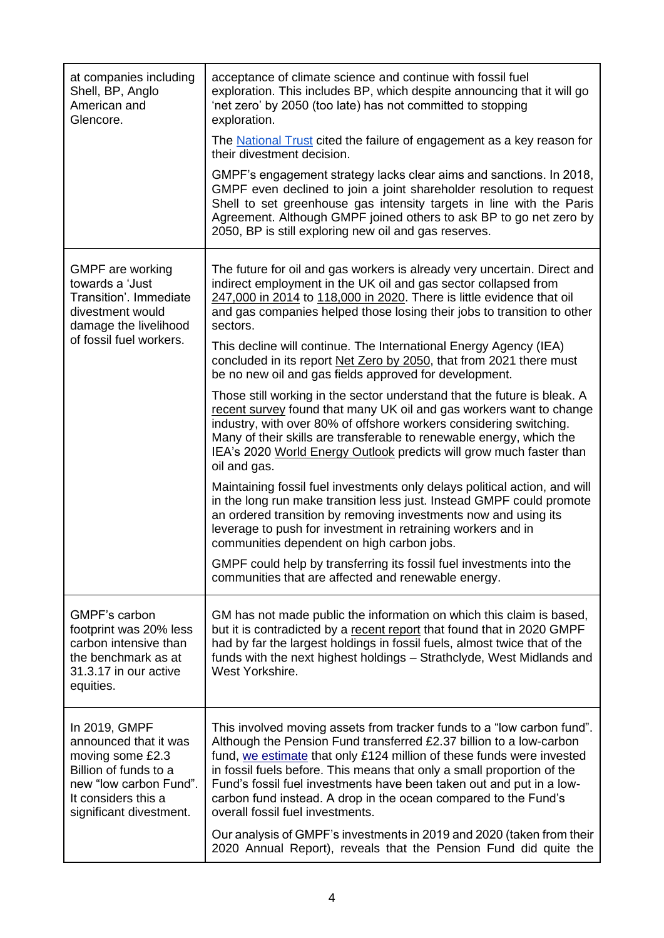| at companies including<br>Shell, BP, Anglo<br>American and<br>Glencore.                                                                                         | acceptance of climate science and continue with fossil fuel<br>exploration. This includes BP, which despite announcing that it will go<br>'net zero' by 2050 (too late) has not committed to stopping<br>exploration.                                                                                                                                                                                                                                                           |
|-----------------------------------------------------------------------------------------------------------------------------------------------------------------|---------------------------------------------------------------------------------------------------------------------------------------------------------------------------------------------------------------------------------------------------------------------------------------------------------------------------------------------------------------------------------------------------------------------------------------------------------------------------------|
|                                                                                                                                                                 | The National Trust cited the failure of engagement as a key reason for<br>their divestment decision.                                                                                                                                                                                                                                                                                                                                                                            |
|                                                                                                                                                                 | GMPF's engagement strategy lacks clear aims and sanctions. In 2018,<br>GMPF even declined to join a joint shareholder resolution to request<br>Shell to set greenhouse gas intensity targets in line with the Paris<br>Agreement. Although GMPF joined others to ask BP to go net zero by<br>2050, BP is still exploring new oil and gas reserves.                                                                                                                              |
| GMPF are working<br>towards a 'Just<br>Transition'. Immediate<br>divestment would<br>damage the livelihood<br>of fossil fuel workers.                           | The future for oil and gas workers is already very uncertain. Direct and<br>indirect employment in the UK oil and gas sector collapsed from<br>247,000 in 2014 to 118,000 in 2020. There is little evidence that oil<br>and gas companies helped those losing their jobs to transition to other<br>sectors.                                                                                                                                                                     |
|                                                                                                                                                                 | This decline will continue. The International Energy Agency (IEA)<br>concluded in its report Net Zero by 2050, that from 2021 there must<br>be no new oil and gas fields approved for development.                                                                                                                                                                                                                                                                              |
|                                                                                                                                                                 | Those still working in the sector understand that the future is bleak. A<br>recent survey found that many UK oil and gas workers want to change<br>industry, with over 80% of offshore workers considering switching.<br>Many of their skills are transferable to renewable energy, which the<br>IEA's 2020 World Energy Outlook predicts will grow much faster than<br>oil and gas.                                                                                            |
|                                                                                                                                                                 | Maintaining fossil fuel investments only delays political action, and will<br>in the long run make transition less just. Instead GMPF could promote<br>an ordered transition by removing investments now and using its<br>leverage to push for investment in retraining workers and in<br>communities dependent on high carbon jobs.                                                                                                                                            |
|                                                                                                                                                                 | GMPF could help by transferring its fossil fuel investments into the<br>communities that are affected and renewable energy.                                                                                                                                                                                                                                                                                                                                                     |
| GMPF's carbon<br>footprint was 20% less<br>carbon intensive than<br>the benchmark as at<br>31.3.17 in our active<br>equities.                                   | GM has not made public the information on which this claim is based,<br>but it is contradicted by a recent report that found that in 2020 GMPF<br>had by far the largest holdings in fossil fuels, almost twice that of the<br>funds with the next highest holdings - Strathclyde, West Midlands and<br>West Yorkshire.                                                                                                                                                         |
| In 2019, GMPF<br>announced that it was<br>moving some £2.3<br>Billion of funds to a<br>new "low carbon Fund".<br>It considers this a<br>significant divestment. | This involved moving assets from tracker funds to a "low carbon fund".<br>Although the Pension Fund transferred £2.37 billion to a low-carbon<br>fund, we estimate that only £124 million of these funds were invested<br>in fossil fuels before. This means that only a small proportion of the<br>Fund's fossil fuel investments have been taken out and put in a low-<br>carbon fund instead. A drop in the ocean compared to the Fund's<br>overall fossil fuel investments. |
|                                                                                                                                                                 | Our analysis of GMPF's investments in 2019 and 2020 (taken from their<br>2020 Annual Report), reveals that the Pension Fund did quite the                                                                                                                                                                                                                                                                                                                                       |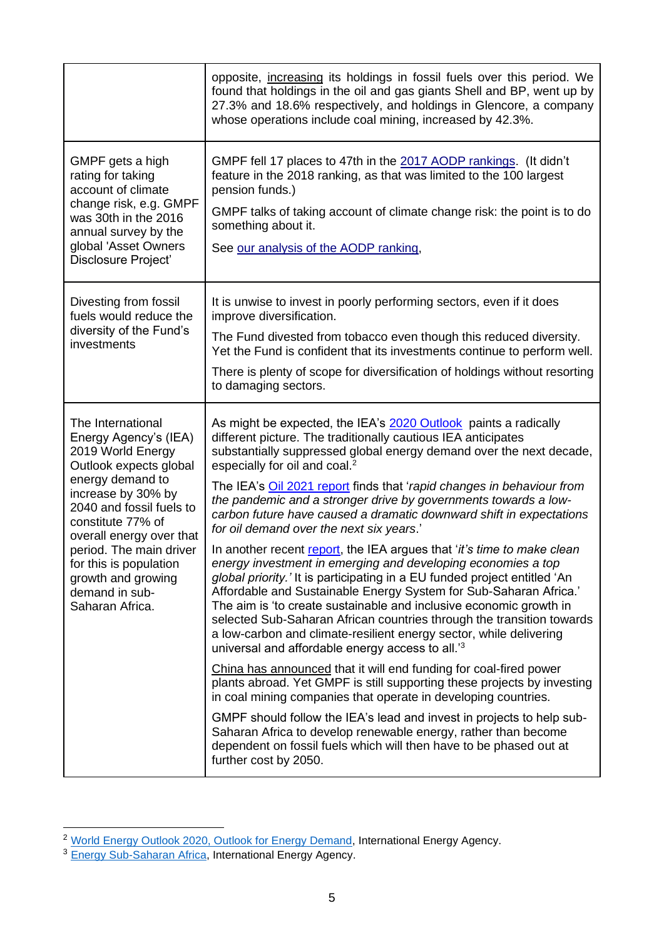|                                                                                                                                                                                                                                                                                                                                  | opposite, increasing its holdings in fossil fuels over this period. We<br>found that holdings in the oil and gas giants Shell and BP, went up by<br>27.3% and 18.6% respectively, and holdings in Glencore, a company<br>whose operations include coal mining, increased by 42.3%.                                                                                                                                                                                                                                                                                                                                                                                                                                                                                                                                                                                                                                                                                                                                                                                                                                                                                                                                                                                                                                                                                                                                                                                                                                                                               |
|----------------------------------------------------------------------------------------------------------------------------------------------------------------------------------------------------------------------------------------------------------------------------------------------------------------------------------|------------------------------------------------------------------------------------------------------------------------------------------------------------------------------------------------------------------------------------------------------------------------------------------------------------------------------------------------------------------------------------------------------------------------------------------------------------------------------------------------------------------------------------------------------------------------------------------------------------------------------------------------------------------------------------------------------------------------------------------------------------------------------------------------------------------------------------------------------------------------------------------------------------------------------------------------------------------------------------------------------------------------------------------------------------------------------------------------------------------------------------------------------------------------------------------------------------------------------------------------------------------------------------------------------------------------------------------------------------------------------------------------------------------------------------------------------------------------------------------------------------------------------------------------------------------|
| GMPF gets a high<br>rating for taking<br>account of climate<br>change risk, e.g. GMPF<br>was 30th in the 2016<br>annual survey by the<br>global 'Asset Owners<br>Disclosure Project'                                                                                                                                             | GMPF fell 17 places to 47th in the 2017 AODP rankings. (It didn't<br>feature in the 2018 ranking, as that was limited to the 100 largest<br>pension funds.)<br>GMPF talks of taking account of climate change risk: the point is to do<br>something about it.<br>See our analysis of the AODP ranking,                                                                                                                                                                                                                                                                                                                                                                                                                                                                                                                                                                                                                                                                                                                                                                                                                                                                                                                                                                                                                                                                                                                                                                                                                                                           |
| Divesting from fossil<br>fuels would reduce the<br>diversity of the Fund's<br>investments                                                                                                                                                                                                                                        | It is unwise to invest in poorly performing sectors, even if it does<br>improve diversification.<br>The Fund divested from tobacco even though this reduced diversity.<br>Yet the Fund is confident that its investments continue to perform well.<br>There is plenty of scope for diversification of holdings without resorting<br>to damaging sectors.                                                                                                                                                                                                                                                                                                                                                                                                                                                                                                                                                                                                                                                                                                                                                                                                                                                                                                                                                                                                                                                                                                                                                                                                         |
| The International<br>Energy Agency's (IEA)<br>2019 World Energy<br>Outlook expects global<br>energy demand to<br>increase by 30% by<br>2040 and fossil fuels to<br>constitute 77% of<br>overall energy over that<br>period. The main driver<br>for this is population<br>growth and growing<br>demand in sub-<br>Saharan Africa. | As might be expected, the IEA's 2020 Outlook paints a radically<br>different picture. The traditionally cautious IEA anticipates<br>substantially suppressed global energy demand over the next decade,<br>especially for oil and coal. <sup>2</sup><br>The IEA's Oil 2021 report finds that 'rapid changes in behaviour from<br>the pandemic and a stronger drive by governments towards a low-<br>carbon future have caused a dramatic downward shift in expectations<br>for oil demand over the next six years.'<br>In another recent report, the IEA argues that 'it's time to make clean<br>energy investment in emerging and developing economies a top<br>global priority.' It is participating in a EU funded project entitled 'An<br>Affordable and Sustainable Energy System for Sub-Saharan Africa.'<br>The aim is 'to create sustainable and inclusive economic growth in<br>selected Sub-Saharan African countries through the transition towards<br>a low-carbon and climate-resilient energy sector, while delivering<br>universal and affordable energy access to all. <sup>'3</sup><br>China has announced that it will end funding for coal-fired power<br>plants abroad. Yet GMPF is still supporting these projects by investing<br>in coal mining companies that operate in developing countries.<br>GMPF should follow the IEA's lead and invest in projects to help sub-<br>Saharan Africa to develop renewable energy, rather than become<br>dependent on fossil fuels which will then have to be phased out at<br>further cost by 2050. |

<sup>&</sup>lt;sup>2</sup> [World Energy Outlook 2020, Outlook for Energy Demand,](https://www.iea.org/reports/world-energy-outlook-2020/outlook-for-energy-demand#abstract) International Energy Agency.

<sup>&</sup>lt;sup>3</sup> [Energy Sub-Saharan Africa,](https://www.iea.org/programmes/energy-sub-saharan-africa) International Energy Agency.